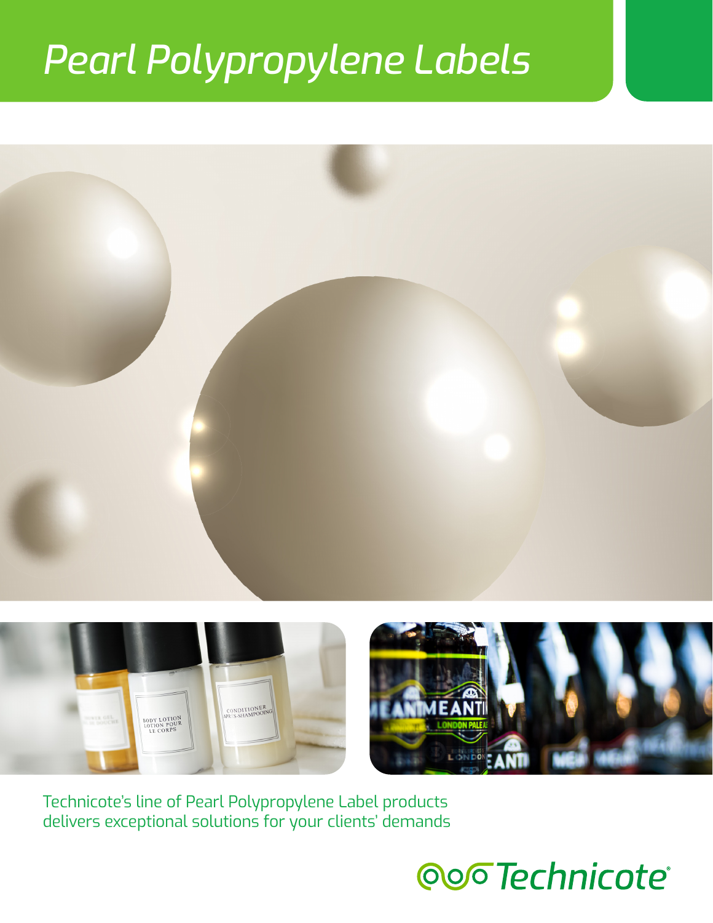# *Pearl Polypropylene Labels*





delivers exceptional solutions for your clients' demands

## oo<sub>o</sub>Technicote®